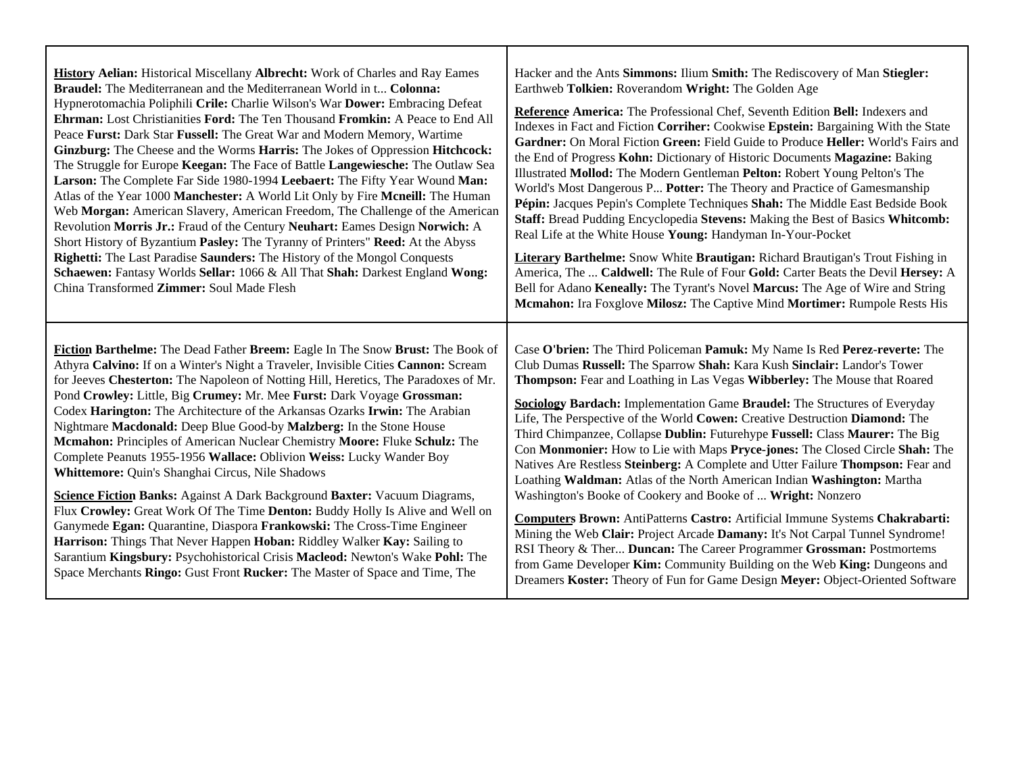| History Aelian: Historical Miscellany Albrecht: Work of Charles and Ray Eames       | Hacker and the Ants Simmons: Ilium Smith: The Rediscovery of Man Stiegler:            |
|-------------------------------------------------------------------------------------|---------------------------------------------------------------------------------------|
| <b>Braudel:</b> The Mediterranean and the Mediterranean World in t Colonna:         | Earthweb Tolkien: Roverandom Wright: The Golden Age                                   |
| Hypnerotomachia Poliphili Crile: Charlie Wilson's War Dower: Embracing Defeat       | Reference America: The Professional Chef, Seventh Edition Bell: Indexers and          |
| Ehrman: Lost Christianities Ford: The Ten Thousand Fromkin: A Peace to End All      | Indexes in Fact and Fiction Corriher: Cookwise Epstein: Bargaining With the State     |
| Peace Furst: Dark Star Fussell: The Great War and Modern Memory, Wartime            | Gardner: On Moral Fiction Green: Field Guide to Produce Heller: World's Fairs and     |
| Ginzburg: The Cheese and the Worms Harris: The Jokes of Oppression Hitchcock:       | the End of Progress Kohn: Dictionary of Historic Documents Magazine: Baking           |
| The Struggle for Europe Keegan: The Face of Battle Langewiesche: The Outlaw Sea     | Illustrated Mollod: The Modern Gentleman Pelton: Robert Young Pelton's The            |
| Larson: The Complete Far Side 1980-1994 Leebaert: The Fifty Year Wound Man:         | World's Most Dangerous P Potter: The Theory and Practice of Gamesmanship              |
| Atlas of the Year 1000 Manchester: A World Lit Only by Fire Mcneill: The Human      | Pépin: Jacques Pepin's Complete Techniques Shah: The Middle East Bedside Book         |
| Web Morgan: American Slavery, American Freedom, The Challenge of the American       | Staff: Bread Pudding Encyclopedia Stevens: Making the Best of Basics Whitcomb:        |
| Revolution Morris Jr.: Fraud of the Century Neuhart: Eames Design Norwich: A        | Real Life at the White House Young: Handyman In-Your-Pocket                           |
| Short History of Byzantium Pasley: The Tyranny of Printers" Reed: At the Abyss      | <b>Literary Barthelme:</b> Snow White Brautigan: Richard Brautigan's Trout Fishing in |
| Righetti: The Last Paradise Saunders: The History of the Mongol Conquests           | America, The  Caldwell: The Rule of Four Gold: Carter Beats the Devil Hersey: A       |
| Schaewen: Fantasy Worlds Sellar: 1066 & All That Shah: Darkest England Wong:        | Bell for Adano Keneally: The Tyrant's Novel Marcus: The Age of Wire and String        |
| China Transformed Zimmer: Soul Made Flesh                                           | Mcmahon: Ira Foxglove Milosz: The Captive Mind Mortimer: Rumpole Rests His            |
| Fiction Barthelme: The Dead Father Breem: Eagle In The Snow Brust: The Book of      | Case O'brien: The Third Policeman Pamuk: My Name Is Red Perez-reverte: The            |
| Athyra Calvino: If on a Winter's Night a Traveler, Invisible Cities Cannon: Scream  | Club Dumas Russell: The Sparrow Shah: Kara Kush Sinclair: Landor's Tower              |
| for Jeeves Chesterton: The Napoleon of Notting Hill, Heretics, The Paradoxes of Mr. | Thompson: Fear and Loathing in Las Vegas Wibberley: The Mouse that Roared             |
| Pond Crowley: Little, Big Crumey: Mr. Mee Furst: Dark Voyage Grossman:              | Sociology Bardach: Implementation Game Braudel: The Structures of Everyday            |
| Codex Harington: The Architecture of the Arkansas Ozarks Irwin: The Arabian         | Life, The Perspective of the World Cowen: Creative Destruction Diamond: The           |
| Nightmare Macdonald: Deep Blue Good-by Malzberg: In the Stone House                 | Third Chimpanzee, Collapse Dublin: Futurehype Fussell: Class Maurer: The Big          |
| Mcmahon: Principles of American Nuclear Chemistry Moore: Fluke Schulz: The          | Con Monmonier: How to Lie with Maps Pryce-jones: The Closed Circle Shah: The          |
| Complete Peanuts 1955-1956 Wallace: Oblivion Weiss: Lucky Wander Boy                | Natives Are Restless Steinberg: A Complete and Utter Failure Thompson: Fear and       |
| Whittemore: Quin's Shanghai Circus, Nile Shadows                                    | Loathing Waldman: Atlas of the North American Indian Washington: Martha               |
| <b>Science Fiction Banks:</b> Against A Dark Background Baxter: Vacuum Diagrams,    | Washington's Booke of Cookery and Booke of  Wright: Nonzero                           |
| Flux Crowley: Great Work Of The Time Denton: Buddy Holly Is Alive and Well on       | <b>Computers Brown:</b> AntiPatterns Castro: Artificial Immune Systems Chakrabarti:   |
| Ganymede Egan: Quarantine, Diaspora Frankowski: The Cross-Time Engineer             | Mining the Web Clair: Project Arcade Damany: It's Not Carpal Tunnel Syndrome!         |
| Harrison: Things That Never Happen Hoban: Riddley Walker Kay: Sailing to            | RSI Theory & Ther Duncan: The Career Programmer Grossman: Postmortems                 |
| Sarantium Kingsbury: Psychohistorical Crisis Macleod: Newton's Wake Pohl: The       | from Game Developer Kim: Community Building on the Web King: Dungeons and             |
| Space Merchants Ringo: Gust Front Rucker: The Master of Space and Time, The         | Dreamers Koster: Theory of Fun for Game Design Meyer: Object-Oriented Software        |

┰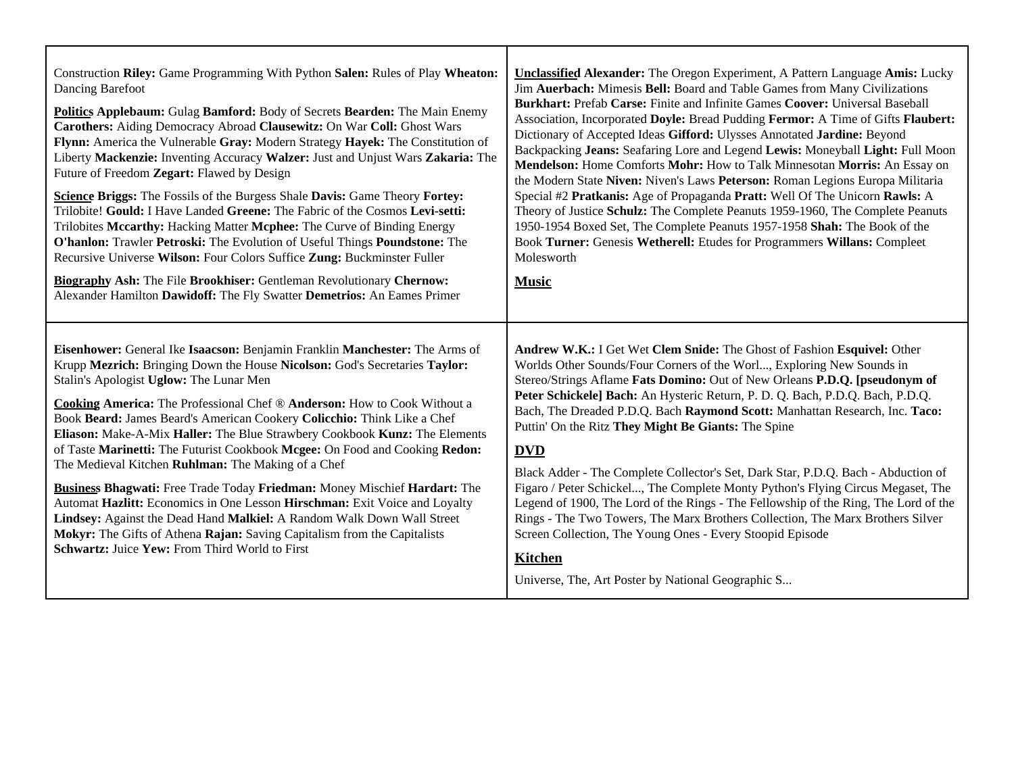| Construction Riley: Game Programming With Python Salen: Rules of Play Wheaton:                                                                                                                                                                                                                                                                                                                                                                                                                                                                                                                                                                                                                                                                                                                                                                                                                                                                           | <b>Unclassified Alexander:</b> The Oregon Experiment, A Pattern Language Amis: Lucky                                                                                                                                                                                                                                                                                                                                                                                                                                                                                                                                                                                                                                                                                                                                                                                                                                                                      |
|----------------------------------------------------------------------------------------------------------------------------------------------------------------------------------------------------------------------------------------------------------------------------------------------------------------------------------------------------------------------------------------------------------------------------------------------------------------------------------------------------------------------------------------------------------------------------------------------------------------------------------------------------------------------------------------------------------------------------------------------------------------------------------------------------------------------------------------------------------------------------------------------------------------------------------------------------------|-----------------------------------------------------------------------------------------------------------------------------------------------------------------------------------------------------------------------------------------------------------------------------------------------------------------------------------------------------------------------------------------------------------------------------------------------------------------------------------------------------------------------------------------------------------------------------------------------------------------------------------------------------------------------------------------------------------------------------------------------------------------------------------------------------------------------------------------------------------------------------------------------------------------------------------------------------------|
| Dancing Barefoot                                                                                                                                                                                                                                                                                                                                                                                                                                                                                                                                                                                                                                                                                                                                                                                                                                                                                                                                         | Jim Auerbach: Mimesis Bell: Board and Table Games from Many Civilizations                                                                                                                                                                                                                                                                                                                                                                                                                                                                                                                                                                                                                                                                                                                                                                                                                                                                                 |
| Politics Applebaum: Gulag Bamford: Body of Secrets Bearden: The Main Enemy                                                                                                                                                                                                                                                                                                                                                                                                                                                                                                                                                                                                                                                                                                                                                                                                                                                                               | Burkhart: Prefab Carse: Finite and Infinite Games Coover: Universal Baseball                                                                                                                                                                                                                                                                                                                                                                                                                                                                                                                                                                                                                                                                                                                                                                                                                                                                              |
| Carothers: Aiding Democracy Abroad Clausewitz: On War Coll: Ghost Wars                                                                                                                                                                                                                                                                                                                                                                                                                                                                                                                                                                                                                                                                                                                                                                                                                                                                                   | Association, Incorporated Doyle: Bread Pudding Fermor: A Time of Gifts Flaubert:                                                                                                                                                                                                                                                                                                                                                                                                                                                                                                                                                                                                                                                                                                                                                                                                                                                                          |
| Flynn: America the Vulnerable Gray: Modern Strategy Hayek: The Constitution of                                                                                                                                                                                                                                                                                                                                                                                                                                                                                                                                                                                                                                                                                                                                                                                                                                                                           | Dictionary of Accepted Ideas Gifford: Ulysses Annotated Jardine: Beyond                                                                                                                                                                                                                                                                                                                                                                                                                                                                                                                                                                                                                                                                                                                                                                                                                                                                                   |
| Liberty Mackenzie: Inventing Accuracy Walzer: Just and Unjust Wars Zakaria: The                                                                                                                                                                                                                                                                                                                                                                                                                                                                                                                                                                                                                                                                                                                                                                                                                                                                          | Backpacking Jeans: Seafaring Lore and Legend Lewis: Moneyball Light: Full Moon                                                                                                                                                                                                                                                                                                                                                                                                                                                                                                                                                                                                                                                                                                                                                                                                                                                                            |
| Future of Freedom Zegart: Flawed by Design                                                                                                                                                                                                                                                                                                                                                                                                                                                                                                                                                                                                                                                                                                                                                                                                                                                                                                               | Mendelson: Home Comforts Mohr: How to Talk Minnesotan Morris: An Essay on                                                                                                                                                                                                                                                                                                                                                                                                                                                                                                                                                                                                                                                                                                                                                                                                                                                                                 |
| Science Briggs: The Fossils of the Burgess Shale Davis: Game Theory Fortey:                                                                                                                                                                                                                                                                                                                                                                                                                                                                                                                                                                                                                                                                                                                                                                                                                                                                              | the Modern State Niven: Niven's Laws Peterson: Roman Legions Europa Militaria                                                                                                                                                                                                                                                                                                                                                                                                                                                                                                                                                                                                                                                                                                                                                                                                                                                                             |
| Trilobite! Gould: I Have Landed Greene: The Fabric of the Cosmos Levi-setti:                                                                                                                                                                                                                                                                                                                                                                                                                                                                                                                                                                                                                                                                                                                                                                                                                                                                             | Special #2 Pratkanis: Age of Propaganda Pratt: Well Of The Unicorn Rawls: A                                                                                                                                                                                                                                                                                                                                                                                                                                                                                                                                                                                                                                                                                                                                                                                                                                                                               |
| Trilobites Mccarthy: Hacking Matter Mcphee: The Curve of Binding Energy                                                                                                                                                                                                                                                                                                                                                                                                                                                                                                                                                                                                                                                                                                                                                                                                                                                                                  | Theory of Justice Schulz: The Complete Peanuts 1959-1960, The Complete Peanuts                                                                                                                                                                                                                                                                                                                                                                                                                                                                                                                                                                                                                                                                                                                                                                                                                                                                            |
| O'hanlon: Trawler Petroski: The Evolution of Useful Things Poundstone: The                                                                                                                                                                                                                                                                                                                                                                                                                                                                                                                                                                                                                                                                                                                                                                                                                                                                               | 1950-1954 Boxed Set, The Complete Peanuts 1957-1958 Shah: The Book of the                                                                                                                                                                                                                                                                                                                                                                                                                                                                                                                                                                                                                                                                                                                                                                                                                                                                                 |
| Recursive Universe Wilson: Four Colors Suffice Zung: Buckminster Fuller                                                                                                                                                                                                                                                                                                                                                                                                                                                                                                                                                                                                                                                                                                                                                                                                                                                                                  | Book Turner: Genesis Wetherell: Etudes for Programmers Willans: Compleet                                                                                                                                                                                                                                                                                                                                                                                                                                                                                                                                                                                                                                                                                                                                                                                                                                                                                  |
| <b>Biography Ash: The File Brookhiser: Gentleman Revolutionary Chernow:</b>                                                                                                                                                                                                                                                                                                                                                                                                                                                                                                                                                                                                                                                                                                                                                                                                                                                                              | Molesworth                                                                                                                                                                                                                                                                                                                                                                                                                                                                                                                                                                                                                                                                                                                                                                                                                                                                                                                                                |
| Alexander Hamilton Dawidoff: The Fly Swatter Demetrios: An Eames Primer                                                                                                                                                                                                                                                                                                                                                                                                                                                                                                                                                                                                                                                                                                                                                                                                                                                                                  | <b>Music</b>                                                                                                                                                                                                                                                                                                                                                                                                                                                                                                                                                                                                                                                                                                                                                                                                                                                                                                                                              |
| Eisenhower: General Ike Isaacson: Benjamin Franklin Manchester: The Arms of<br>Krupp Mezrich: Bringing Down the House Nicolson: God's Secretaries Taylor:<br>Stalin's Apologist Uglow: The Lunar Men<br>Cooking America: The Professional Chef ® Anderson: How to Cook Without a<br>Book Beard: James Beard's American Cookery Colicchio: Think Like a Chef<br>Eliason: Make-A-Mix Haller: The Blue Strawbery Cookbook Kunz: The Elements<br>of Taste Marinetti: The Futurist Cookbook Mcgee: On Food and Cooking Redon:<br>The Medieval Kitchen Ruhlman: The Making of a Chef<br><b>Business Bhagwati:</b> Free Trade Today Friedman: Money Mischief Hardart: The<br>Automat Hazlitt: Economics in One Lesson Hirschman: Exit Voice and Loyalty<br>Lindsey: Against the Dead Hand Malkiel: A Random Walk Down Wall Street<br>Mokyr: The Gifts of Athena Rajan: Saving Capitalism from the Capitalists<br>Schwartz: Juice Yew: From Third World to First | Andrew W.K.: I Get Wet Clem Snide: The Ghost of Fashion Esquivel: Other<br>Worlds Other Sounds/Four Corners of the Worl, Exploring New Sounds in<br>Stereo/Strings Aflame Fats Domino: Out of New Orleans P.D.Q. [pseudonym of<br>Peter Schickele] Bach: An Hysteric Return, P. D. Q. Bach, P.D.Q. Bach, P.D.Q.<br>Bach, The Dreaded P.D.Q. Bach Raymond Scott: Manhattan Research, Inc. Taco:<br>Puttin' On the Ritz They Might Be Giants: The Spine<br><b>DVD</b><br>Black Adder - The Complete Collector's Set, Dark Star, P.D.Q. Bach - Abduction of<br>Figaro / Peter Schickel, The Complete Monty Python's Flying Circus Megaset, The<br>Legend of 1900, The Lord of the Rings - The Fellowship of the Ring, The Lord of the<br>Rings - The Two Towers, The Marx Brothers Collection, The Marx Brothers Silver<br>Screen Collection, The Young Ones - Every Stoopid Episode<br><b>Kitchen</b><br>Universe, The, Art Poster by National Geographic S |